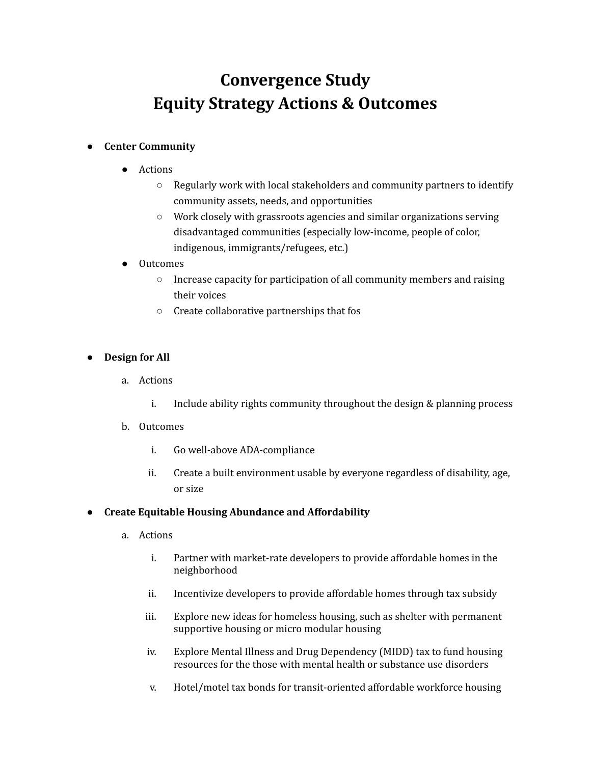# **Convergence Study Equity Strategy Actions & Outcomes**

# ● **Center Community**

- Actions
	- Regularly work with local stakeholders and community partners to identify community assets, needs, and opportunities
	- Work closely with grassroots agencies and similar organizations serving disadvantaged communities (especially low-income, people of color, indigenous, immigrants/refugees, etc.)
- Outcomes
	- Increase capacity for participation of all community members and raising their voices
	- Create collaborative partnerships that fos

# ● **Design for All**

- a. Actions
	- i. Include ability rights community throughout the design & planning process
- b. Outcomes
	- i. Go well-above ADA-compliance
	- ii. Create a built environment usable by everyone regardless of disability, age, or size

# ● **Create Equitable Housing Abundance and Affordability**

- a. Actions
	- i. Partner with market-rate developers to provide affordable homes in the neighborhood
	- ii. Incentivize developers to provide affordable homes through tax subsidy
	- iii. Explore new ideas for homeless housing, such as shelter with permanent supportive housing or micro modular housing
	- iv. Explore Mental Illness and Drug Dependency (MIDD) tax to fund housing resources for the those with mental health or substance use disorders
	- v. Hotel/motel tax bonds for transit-oriented affordable workforce housing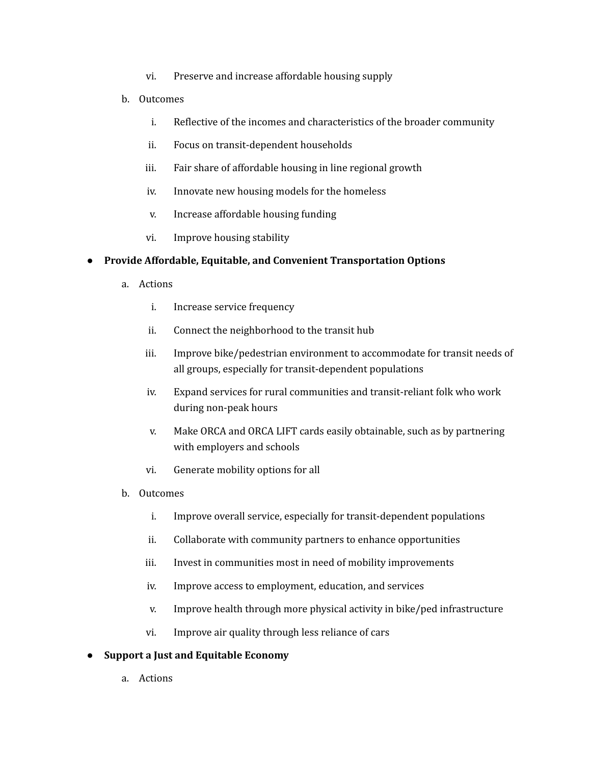- vi. Preserve and increase affordable housing supply
- b. Outcomes
	- i. Reflective of the incomes and characteristics of the broader community
	- ii. Focus on transit-dependent households
	- iii. Fair share of affordable housing in line regional growth
	- iv. Innovate new housing models for the homeless
	- v. Increase affordable housing funding
	- vi. Improve housing stability

## ● **Provide Affordable, Equitable, and Convenient Transportation Options**

- a. Actions
	- i. Increase service frequency
	- ii. Connect the neighborhood to the transit hub
	- iii. Improve bike/pedestrian environment to accommodate for transit needs of all groups, especially for transit-dependent populations
	- iv. Expand services for rural communities and transit-reliant folk who work during non-peak hours
	- v. Make ORCA and ORCA LIFT cards easily obtainable, such as by partnering with employers and schools
	- vi. Generate mobility options for all
- b. Outcomes
	- i. Improve overall service, especially for transit-dependent populations
	- ii. Collaborate with community partners to enhance opportunities
	- iii. Invest in communities most in need of mobility improvements
	- iv. Improve access to employment, education, and services
	- v. Improve health through more physical activity in bike/ped infrastructure
	- vi. Improve air quality through less reliance of cars

## ● **Support a Just and Equitable Economy**

a. Actions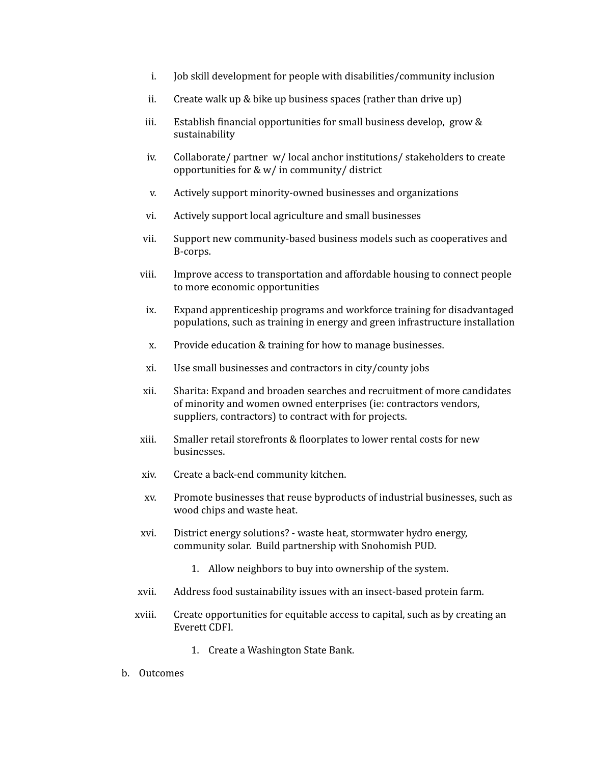- i. Job skill development for people with disabilities/community inclusion
- ii. Create walk up & bike up business spaces (rather than drive up)
- iii. Establish financial opportunities for small business develop, grow  $\&$ sustainability
- iv. Collaborate/ partner w/ local anchor institutions/ stakeholders to create opportunities for & w/ in community/ district
- v. Actively support minority-owned businesses and organizations
- vi. Actively support local agriculture and small businesses
- vii. Support new community-based business models such as cooperatives and B-corps.
- viii. Improve access to transportation and affordable housing to connect people to more economic opportunities
- ix. Expand apprenticeship programs and workforce training for disadvantaged populations, such as training in energy and green infrastructure installation
- x. Provide education & training for how to manage businesses.
- xi. Use small businesses and contractors in city/county jobs
- xii. Sharita: Expand and broaden searches and recruitment of more candidates of minority and women owned enterprises (ie: contractors vendors, suppliers, contractors) to contract with for projects.
- xiii. Smaller retail storefronts & floorplates to lower rental costs for new businesses.
- xiv. Create a back-end community kitchen.
- xv. Promote businesses that reuse byproducts of industrial businesses, such as wood chips and waste heat.
- xvi. District energy solutions? waste heat, stormwater hydro energy, community solar. Build partnership with Snohomish PUD.
	- 1. Allow neighbors to buy into ownership of the system.
- xvii. Address food sustainability issues with an insect-based protein farm.
- xviii. Create opportunities for equitable access to capital, such as by creating an Everett CDFI.
	- 1. Create a Washington State Bank.
- b. Outcomes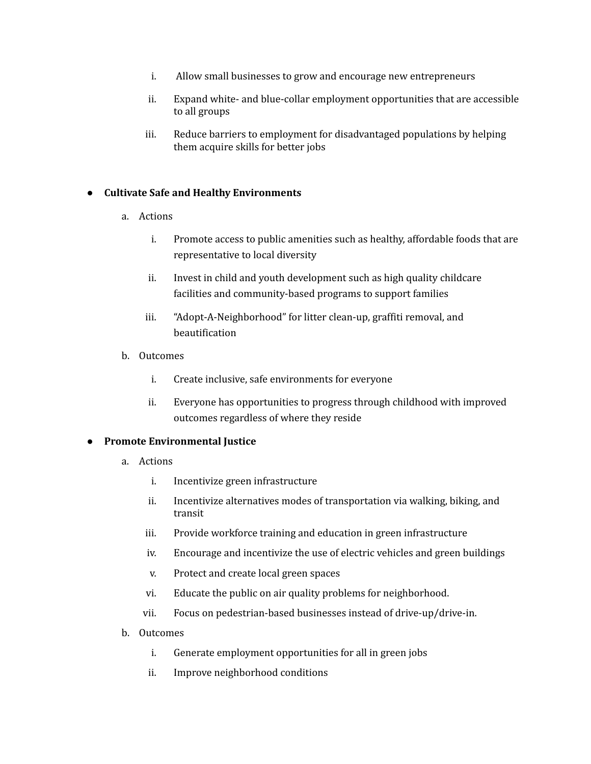- i. Allow small businesses to grow and encourage new entrepreneurs
- ii. Expand white- and blue-collar employment opportunities that are accessible to all groups
- iii. Reduce barriers to employment for disadvantaged populations by helping them acquire skills for better jobs

## ● **Cultivate Safe and Healthy Environments**

- a. Actions
	- i. Promote access to public amenities such as healthy, affordable foods that are representative to local diversity
	- ii. Invest in child and youth development such as high quality childcare facilities and community-based programs to support families
	- iii. "Adopt-A-Neighborhood" for litter clean-up, graffiti removal, and beautification
- b. Outcomes
	- i. Create inclusive, safe environments for everyone
	- ii. Everyone has opportunities to progress through childhood with improved outcomes regardless of where they reside

#### ● **Promote Environmental Justice**

- a. Actions
	- i. Incentivize green infrastructure
	- ii. Incentivize alternatives modes of transportation via walking, biking, and transit
	- iii. Provide workforce training and education in green infrastructure
	- iv. Encourage and incentivize the use of electric vehicles and green buildings
	- v. Protect and create local green spaces
	- vi. Educate the public on air quality problems for neighborhood.
	- vii. Focus on pedestrian-based businesses instead of drive-up/drive-in.
- b. Outcomes
	- i. Generate employment opportunities for all in green jobs
	- ii. Improve neighborhood conditions